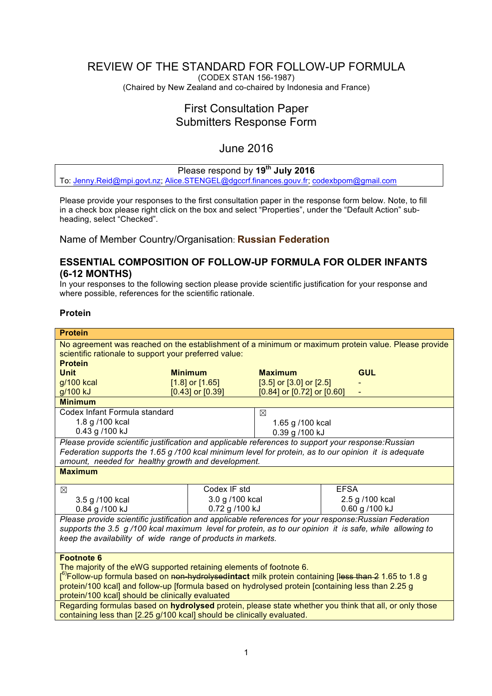# REVIEW OF THE STANDARD FOR FOLLOW-UP FORMULA

(CODEX STAN 156-1987) (Chaired by New Zealand and co-chaired by Indonesia and France)

# First Consultation Paper Submitters Response Form

# June 2016

## Please respond by **19th July 2016**

To: [Jenny.Reid@mpi.govt.nz](mailto:Jenny.Reid@mpi.govt.nz); [Alice.STENGEL@dgccrf.finances.gouv.fr](mailto:Alice.STENGEL@dgccrf.finances.gouv.fr); [codexbpom@gmail.com](mailto:codexbpom@gmail.com)

Please provide your responses to the first consultation paper in the response form below. Note, to fill in a check box please right click on the box and select "Properties", under the "Default Action" subheading, select "Checked".

Name of Member Country/Organisation: **Russian Federation**

## **ESSENTIAL COMPOSITION OF FOLLOW-UP FORMULA FOR OLDER INFANTS (6-12 MONTHS)**

In your responses to the following section please provide scientific justification for your response and where possible, references for the scientific rationale.

## **Protein**

| <b>Protein</b>                                                                                                                             |                      |                                  |                 |
|--------------------------------------------------------------------------------------------------------------------------------------------|----------------------|----------------------------------|-----------------|
| No agreement was reached on the establishment of a minimum or maximum protein value. Please provide                                        |                      |                                  |                 |
| scientific rationale to support your preferred value:                                                                                      |                      |                                  |                 |
| <b>Protein</b>                                                                                                                             |                      |                                  |                 |
| <b>Unit</b>                                                                                                                                | <b>Minimum</b>       | <b>Maximum</b>                   | <b>GUL</b>      |
| g/100 kcal                                                                                                                                 | $[1.8]$ or $[1.65]$  | $[3.5]$ or $[3.0]$ or $[2.5]$    |                 |
| g/100 kJ                                                                                                                                   | $[0.43]$ or $[0.39]$ | $[0.84]$ or $[0.72]$ or $[0.60]$ |                 |
| <b>Minimum</b>                                                                                                                             |                      |                                  |                 |
| Codex Infant Formula standard                                                                                                              |                      | $\boxtimes$                      |                 |
| 1.8 g /100 kcal                                                                                                                            |                      | 1.65 g /100 kcal                 |                 |
| 0.43 g /100 kJ                                                                                                                             |                      | 0.39 g /100 kJ                   |                 |
| Please provide scientific justification and applicable references to support your response: Russian                                        |                      |                                  |                 |
| Federation supports the 1.65 g/100 kcal minimum level for protein, as to our opinion it is adequate                                        |                      |                                  |                 |
| amount, needed for healthy growth and development.                                                                                         |                      |                                  |                 |
| <b>Maximum</b>                                                                                                                             |                      |                                  |                 |
| ⊠                                                                                                                                          | Codex IF std         |                                  | <b>FFSA</b>     |
| 3.5 g /100 kcal                                                                                                                            | 3.0 g /100 kcal      |                                  | 2.5 g /100 kcal |
| 0.84 g /100 kJ                                                                                                                             | 0.72 g /100 kJ       |                                  | 0.60 g /100 kJ  |
| Please provide scientific justification and applicable references for your response: Russian Federation                                    |                      |                                  |                 |
| supports the 3.5 g/100 kcal maximum level for protein, as to our opinion it is safe, while allowing to                                     |                      |                                  |                 |
| keep the availability of wide range of products in markets.                                                                                |                      |                                  |                 |
|                                                                                                                                            |                      |                                  |                 |
| <b>Footnote 6</b>                                                                                                                          |                      |                                  |                 |
| The majority of the eWG supported retaining elements of footnote 6.                                                                        |                      |                                  |                 |
| [ <sup>6)</sup> Follow-up formula based on <del>non-hydrolysed</del> intact milk protein containing [ <del>less than 2</del> 1.65 to 1.8 g |                      |                                  |                 |
| protein/100 kcal] and follow-up [formula based on hydrolysed protein [containing less than 2.25 g                                          |                      |                                  |                 |
| protein/100 kcal] should be clinically evaluated                                                                                           |                      |                                  |                 |
| Regarding formulas based on hydrolysed protein, please state whether you think that all, or only those                                     |                      |                                  |                 |
| containing less than [2.25 g/100 kcal] should be clinically evaluated.                                                                     |                      |                                  |                 |
|                                                                                                                                            |                      |                                  |                 |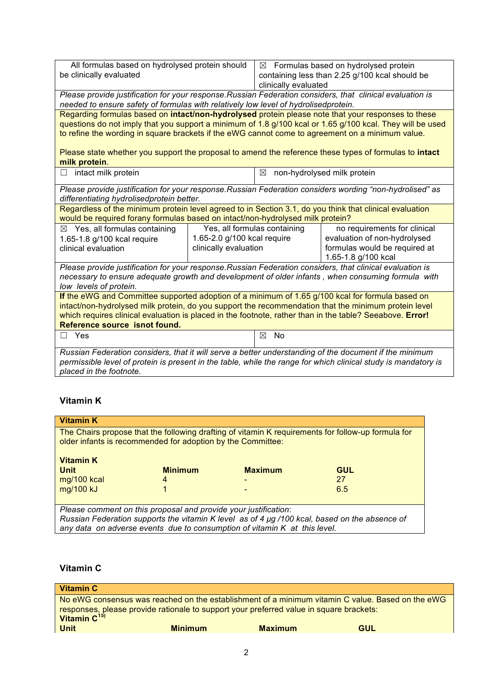| All formulas based on hydrolysed protein should                                                                                                                                                                          |                                                              |                      | $\boxtimes$ Formulas based on hydrolysed protein |
|--------------------------------------------------------------------------------------------------------------------------------------------------------------------------------------------------------------------------|--------------------------------------------------------------|----------------------|--------------------------------------------------|
| be clinically evaluated                                                                                                                                                                                                  |                                                              |                      | containing less than 2.25 g/100 kcal should be   |
|                                                                                                                                                                                                                          |                                                              | clinically evaluated |                                                  |
| Please provide justification for your response. Russian Federation considers, that clinical evaluation is                                                                                                                |                                                              |                      |                                                  |
| needed to ensure safety of formulas with relatively low level of hydrolisedprotein.                                                                                                                                      |                                                              |                      |                                                  |
| Regarding formulas based on intact/non-hydrolysed protein please note that your responses to these                                                                                                                       |                                                              |                      |                                                  |
| questions do not imply that you support a minimum of 1.8 g/100 kcal or 1.65 g/100 kcal. They will be used                                                                                                                |                                                              |                      |                                                  |
| to refine the wording in square brackets if the eWG cannot come to agreement on a minimum value.                                                                                                                         |                                                              |                      |                                                  |
|                                                                                                                                                                                                                          |                                                              |                      |                                                  |
| Please state whether you support the proposal to amend the reference these types of formulas to intact                                                                                                                   |                                                              |                      |                                                  |
| milk protein.                                                                                                                                                                                                            |                                                              |                      |                                                  |
| intact milk protein<br>Ш                                                                                                                                                                                                 |                                                              | ⊠                    | non-hydrolysed milk protein                      |
| Please provide justification for your response. Russian Federation considers wording "non-hydrolised" as                                                                                                                 |                                                              |                      |                                                  |
| differentiating hydrolisedprotein better.                                                                                                                                                                                |                                                              |                      |                                                  |
| Regardless of the minimum protein level agreed to in Section 3.1, do you think that clinical evaluation                                                                                                                  |                                                              |                      |                                                  |
| would be required forany formulas based on intact/non-hydrolysed milk protein?                                                                                                                                           |                                                              |                      |                                                  |
| $\boxtimes$ Yes, all formulas containing                                                                                                                                                                                 | Yes, all formulas containing<br>no requirements for clinical |                      |                                                  |
| 1.65-1.8 g/100 kcal require                                                                                                                                                                                              | 1.65-2.0 g/100 kcal require                                  |                      | evaluation of non-hydrolysed                     |
| clinical evaluation                                                                                                                                                                                                      | clinically evaluation                                        |                      | formulas would be required at                    |
|                                                                                                                                                                                                                          |                                                              |                      | 1.65-1.8 g/100 kcal                              |
| Please provide justification for your response. Russian Federation considers, that clinical evaluation is                                                                                                                |                                                              |                      |                                                  |
| necessary to ensure adequate growth and development of older infants, when consuming formula with                                                                                                                        |                                                              |                      |                                                  |
| low levels of protein.                                                                                                                                                                                                   |                                                              |                      |                                                  |
| If the eWG and Committee supported adoption of a minimum of 1.65 g/100 kcal for formula based on                                                                                                                         |                                                              |                      |                                                  |
| intact/non-hydrolysed milk protein, do you support the recommendation that the minimum protein level                                                                                                                     |                                                              |                      |                                                  |
| which requires clinical evaluation is placed in the footnote, rather than in the table? Seeabove. Error!                                                                                                                 |                                                              |                      |                                                  |
| Reference source isnot found.                                                                                                                                                                                            |                                                              |                      |                                                  |
| $\Box$ Yes                                                                                                                                                                                                               |                                                              | ⊠<br><b>No</b>       |                                                  |
|                                                                                                                                                                                                                          |                                                              |                      |                                                  |
| Russian Federation considers, that it will serve a better understanding of the document if the minimum<br>permissible level of protein is present in the table, while the range for which clinical study is mandatory is |                                                              |                      |                                                  |
| placed in the footnote.                                                                                                                                                                                                  |                                                              |                      |                                                  |
|                                                                                                                                                                                                                          |                                                              |                      |                                                  |

## **Vitamin K**

| <b>Vitamin K</b>                                                                                                                                                           |                |                |     |
|----------------------------------------------------------------------------------------------------------------------------------------------------------------------------|----------------|----------------|-----|
| The Chairs propose that the following drafting of vitamin K requirements for follow-up formula for<br>older infants is recommended for adoption by the Committee:          |                |                |     |
| <b>Vitamin K</b>                                                                                                                                                           |                |                |     |
| <b>Unit</b>                                                                                                                                                                | <b>Minimum</b> | <b>Maximum</b> | GUL |
| mg/100 kcal                                                                                                                                                                |                |                | 27  |
| mg/100 kJ                                                                                                                                                                  |                |                | 6.5 |
|                                                                                                                                                                            |                |                |     |
| Please comment on this proposal and provide your justification:                                                                                                            |                |                |     |
| Russian Federation supports the vitamin K level as of 4 µg /100 kcal, based on the absence of<br>any data on adverse events due to consumption of vitamin K at this level. |                |                |     |
|                                                                                                                                                                            |                |                |     |

# **Vitamin C**

| Vitamin C                                                                               |                |                |                                                                                                  |  |
|-----------------------------------------------------------------------------------------|----------------|----------------|--------------------------------------------------------------------------------------------------|--|
| responses, please provide rationale to support your preferred value in square brackets: |                |                | No eWG consensus was reached on the establishment of a minimum vitamin C value. Based on the eWG |  |
| <b>Unit</b>                                                                             | <b>Minimum</b> | <b>Maximum</b> | GUL                                                                                              |  |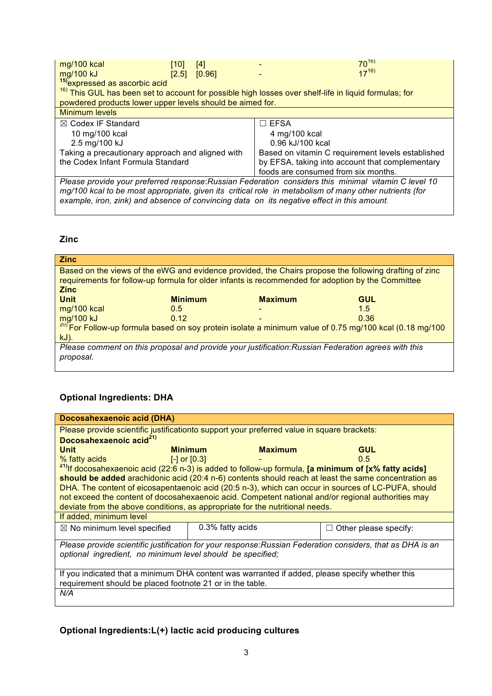| mg/100 kcal<br>mg/100 kJ<br><sup>15)</sup> expressed as ascorbic acid                                            | [10]<br>[2.5] | [4]<br>[0.96] |             |                                     | $70^{16}$<br>$17^{16}$                            |
|------------------------------------------------------------------------------------------------------------------|---------------|---------------|-------------|-------------------------------------|---------------------------------------------------|
| <sup>16)</sup> This GUL has been set to account for possible high losses over shelf-life in liquid formulas; for |               |               |             |                                     |                                                   |
| powdered products lower upper levels should be aimed for.                                                        |               |               |             |                                     |                                                   |
| <b>Minimum levels</b>                                                                                            |               |               |             |                                     |                                                   |
| $\boxtimes$ Codex IF Standard                                                                                    |               |               | $\Box$ EFSA |                                     |                                                   |
| 10 mg/100 kcal                                                                                                   |               |               |             | 4 mg/100 kcal                       |                                                   |
| 2.5 mg/100 kJ                                                                                                    |               |               |             | 0.96 kJ/100 kcal                    |                                                   |
| Taking a precautionary approach and aligned with                                                                 |               |               |             |                                     | Based on vitamin C requirement levels established |
| the Codex Infant Formula Standard                                                                                |               |               |             |                                     | by EFSA, taking into account that complementary   |
|                                                                                                                  |               |               |             | foods are consumed from six months. |                                                   |
| Please provide your preferred response: Russian Federation considers this minimal vitamin C level 10             |               |               |             |                                     |                                                   |
| mg/100 kcal to be most appropriate, given its critical role in metabolism of many other nutrients (for           |               |               |             |                                     |                                                   |
| example, iron, zink) and absence of convincing data on its negative effect in this amount.                       |               |               |             |                                     |                                                   |

## **Zinc**

| <b>Zinc</b>                                                                                                      |                |                |                                                                                                                    |
|------------------------------------------------------------------------------------------------------------------|----------------|----------------|--------------------------------------------------------------------------------------------------------------------|
| Based on the views of the eWG and evidence provided, the Chairs propose the following drafting of zinc           |                |                |                                                                                                                    |
| requirements for follow-up formula for older infants is recommended for adoption by the Committee<br><b>Zinc</b> |                |                |                                                                                                                    |
| <b>Unit</b>                                                                                                      | <b>Minimum</b> | <b>Maximum</b> | <b>GUL</b>                                                                                                         |
| mg/100 kcal                                                                                                      | 0.5            |                | 1.5                                                                                                                |
| mg/100 kJ                                                                                                        | 0.12           |                | 0.36                                                                                                               |
|                                                                                                                  |                |                | <sup>20)</sup> For Follow-up formula based on soy protein isolate a minimum value of 0.75 mg/100 kcal (0.18 mg/100 |
|                                                                                                                  |                |                |                                                                                                                    |
| $kJ$ ).                                                                                                          |                |                |                                                                                                                    |
| Please comment on this proposal and provide your justification: Russian Federation agrees with this              |                |                |                                                                                                                    |
| proposal.                                                                                                        |                |                |                                                                                                                    |

# **Optional Ingredients: DHA**

| Docosahexaenoic acid (DHA)                                                                                      |                  |                |                            |
|-----------------------------------------------------------------------------------------------------------------|------------------|----------------|----------------------------|
| Please provide scientific justificationto support your preferred value in square brackets:                      |                  |                |                            |
| Docosahexaenoic acid <sup>21)</sup>                                                                             |                  |                |                            |
| <b>Unit</b>                                                                                                     | <b>Minimum</b>   | <b>Maximum</b> | <b>GUL</b>                 |
| % fatty acids                                                                                                   | $[-]$ or $[0.3]$ |                | 0.5                        |
| <sup>21)</sup> If docosahexaenoic acid (22:6 n-3) is added to follow-up formula, [a minimum of [x% fatty acids] |                  |                |                            |
| should be added arachidonic acid (20:4 n-6) contents should reach at least the same concentration as            |                  |                |                            |
| DHA. The content of eicosapentaenoic acid (20:5 n-3), which can occur in sources of LC-PUFA, should             |                  |                |                            |
| not exceed the content of docosahexaenoic acid. Competent national and/or regional authorities may              |                  |                |                            |
| deviate from the above conditions, as appropriate for the nutritional needs.                                    |                  |                |                            |
| If added, minimum level                                                                                         |                  |                |                            |
| $\boxtimes$ No minimum level specified                                                                          | 0.3% fatty acids |                | Other please specify:<br>H |
|                                                                                                                 |                  |                |                            |
| Please provide scientific justification for your response: Russian Federation considers, that as DHA is an      |                  |                |                            |
| optional ingredient, no minimum level should be specified;                                                      |                  |                |                            |
|                                                                                                                 |                  |                |                            |
| If you indicated that a minimum DHA content was warranted if added, please specify whether this                 |                  |                |                            |
| requirement should be placed footnote 21 or in the table.                                                       |                  |                |                            |
| N/A                                                                                                             |                  |                |                            |
|                                                                                                                 |                  |                |                            |

**Optional Ingredients:L(+) lactic acid producing cultures**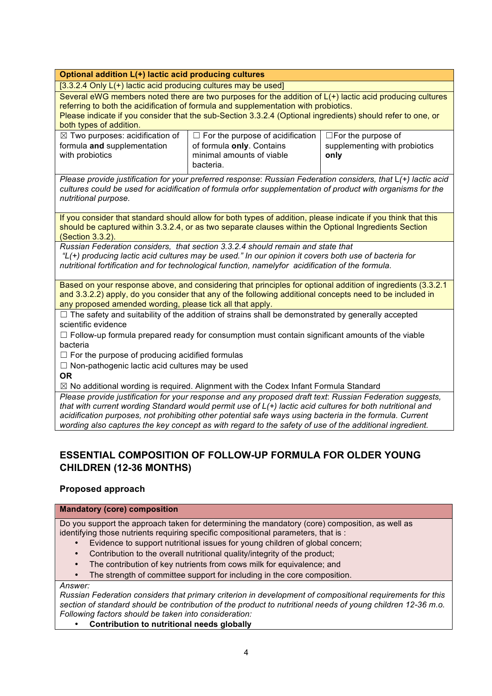## **Optional addition L(+) lactic acid producing cultures**

[3.3.2.4 Only L(+) lactic acid producing cultures may be used]

Several eWG members noted there are two purposes for the addition of  $L(+)$  lactic acid producing cultures referring to both the acidification of formula and supplementation with probiotics.

Please indicate if you consider that the sub-Section 3.3.2.4 (Optional ingredients) should refer to one, or both types of addition.

| $\boxtimes$ Two purposes: acidification of | $\Box$ For the purpose of acidification $\vert$ | $\square$ For the purpose of  |
|--------------------------------------------|-------------------------------------------------|-------------------------------|
| formula and supplementation                | of formula only. Contains                       | supplementing with probiotics |
| with probiotics                            | minimal amounts of viable                       | only                          |
|                                            | bacteria.                                       |                               |

*Please provide justification for your preferred response*: *Russian Federation considers, that* L*(+) lactic acid cultures could be used for acidification of formula orfor supplementation of product with organisms for the nutritional purpose.*

If you consider that standard should allow for both types of addition, please indicate if you think that this should be captured within 3.3.2.4, or as two separate clauses within the Optional Ingredients Section (Section 3.3.2).

*Russian Federation considers, that section 3.3.2.4 should remain and state that* 

*"L(+) producing lactic acid cultures may be used." In our opinion it covers both use of bacteria for nutritional fortification and for technological function, namelyfor acidification of the formula.*

Based on your response above, and considering that principles for optional addition of ingredients (3.3.2.1 and 3.3.2.2) apply, do you consider that any of the following additional concepts need to be included in any proposed amended wording, please tick all that apply.

 $\Box$  The safety and suitability of the addition of strains shall be demonstrated by generally accepted scientific evidence

 $\Box$  Follow-up formula prepared ready for consumption must contain significant amounts of the viable bacteria

 $\Box$  For the purpose of producing acidified formulas

☐ Non-pathogenic lactic acid cultures may be used

**OR**

 $\boxtimes$  No additional wording is required. Alignment with the Codex Infant Formula Standard

*Please provide justification for your response and any proposed draft text*: *Russian Federation suggests, that with current wording Standard would permit use of L(+) lactic acid cultures for both nutritional and acidification purposes, not prohibiting other potential safe ways using bacteria in the formula. Current wording also captures the key concept as with regard to the safety of use of the additional ingredient.*

## **ESSENTIAL COMPOSITION OF FOLLOW-UP FORMULA FOR OLDER YOUNG CHILDREN (12-36 MONTHS)**

## **Proposed approach**

### **Mandatory (core) composition**

Do you support the approach taken for determining the mandatory (core) composition, as well as identifying those nutrients requiring specific compositional parameters, that is :

- Evidence to support nutritional issues for young children of global concern;
- Contribution to the overall nutritional quality/integrity of the product;
- The contribution of key nutrients from cows milk for equivalence; and
- The strength of committee support for including in the core composition.

*Answer:*

*Russian Federation considers that primary criterion in development of compositional requirements for this section of standard should be contribution of the product to nutritional needs of young children 12-36 m.o. Following factors should be taken into consideration:*

• **Contribution to nutritional needs globally**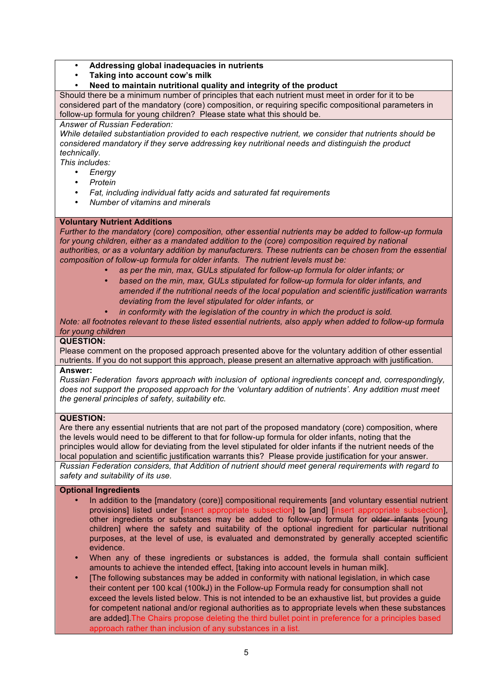### • **Addressing global inadequacies in nutrients**

• **Taking into account cow's milk** 

• **Need to maintain nutritional quality and integrity of the product**

Should there be a minimum number of principles that each nutrient must meet in order for it to be considered part of the mandatory (core) composition, or requiring specific compositional parameters in follow-up formula for young children? Please state what this should be.

*Answer of Russian Federation:*

*While detailed substantiation provided to each respective nutrient, we consider that nutrients should be considered mandatory if they serve addressing key nutritional needs and distinguish the product technically.* 

*This includes:*

- *Energy*
- *Protein*
- *Fat, including individual fatty acids and saturated fat requirements*
- *Number of vitamins and minerals*

### **Voluntary Nutrient Additions**

*Further to the mandatory (core) composition, other essential nutrients may be added to follow-up formula*  for young children, either as a mandated addition to the (core) composition required by national *authorities, or as a voluntary addition by manufacturers. These nutrients can be chosen from the essential composition of follow-up formula for older infants. The nutrient levels must be:*

- *as per the min, max, GULs stipulated for follow-up formula for older infants; or*
- *based on the min, max, GULs stipulated for follow-up formula for older infants, and amended if the nutritional needs of the local population and scientific justification warrants deviating from the level stipulated for older infants, or*
- *in conformity with the legislation of the country in which the product is sold.*

*Note: all footnotes relevant to these listed essential nutrients, also apply when added to follow-up formula for young children*

### **QUESTION:**

Please comment on the proposed approach presented above for the voluntary addition of other essential nutrients. If you do not support this approach, please present an alternative approach with justification.

### **Answer:**

*Russian Federation favors approach with inclusion of optional ingredients concept and, correspondingly, does not support the proposed approach for the 'voluntary addition of nutrients'. Any addition must meet the general principles of safety, suitability etc.*

### **QUESTION:**

Are there any essential nutrients that are not part of the proposed mandatory (core) composition, where the levels would need to be different to that for follow-up formula for older infants, noting that the principles would allow for deviating from the level stipulated for older infants if the nutrient needs of the local population and scientific justification warrants this? Please provide justification for your answer. *Russian Federation considers, that Addition of nutrient should meet general requirements with regard to safety and suitability of its use.*

### **Optional Ingredients**

- In addition to the [mandatory (core)] compositional requirements [and voluntary essential nutrient provisions] listed under [insert appropriate subsection] to [and] [insert appropriate subsection], other ingredients or substances may be added to follow-up formula for elder infants [young children] where the safety and suitability of the optional ingredient for particular nutritional purposes, at the level of use, is evaluated and demonstrated by generally accepted scientific evidence.
- When any of these ingredients or substances is added, the formula shall contain sufficient amounts to achieve the intended effect, [taking into account levels in human milk].
- [The following substances may be added in conformity with national legislation, in which case their content per 100 kcal (100kJ) in the Follow-up Formula ready for consumption shall not exceed the levels listed below. This is not intended to be an exhaustive list, but provides a guide for competent national and/or regional authorities as to appropriate levels when these substances are added].The Chairs propose deleting the third bullet point in preference for a principles based approach rather than inclusion of any substances in a list.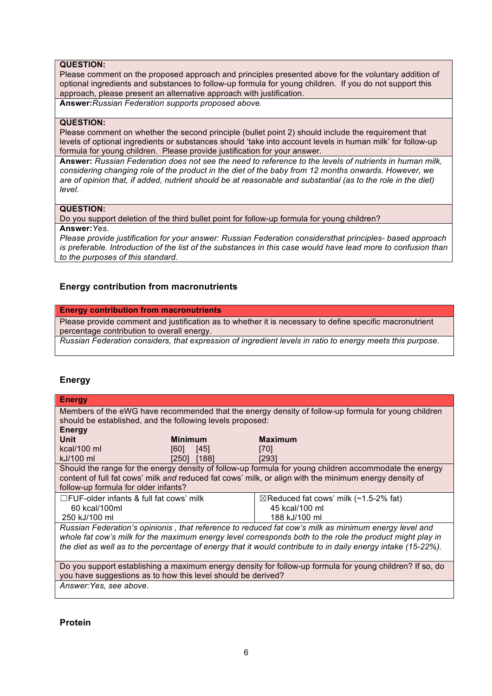## **QUESTION:**

Please comment on the proposed approach and principles presented above for the voluntary addition of optional ingredients and substances to follow-up formula for young children. If you do not support this approach, please present an alternative approach with justification.

**Answer:***Russian Federation supports proposed above.*

#### **QUESTION:**

Please comment on whether the second principle (bullet point 2) should include the requirement that levels of optional ingredients or substances should 'take into account levels in human milk' for follow-up formula for young children. Please provide justification for your answer.

**Answer:** *Russian Federation does not see the need to reference to the levels of nutrients in human milk, considering changing role of the product in the diet of the baby from 12 months onwards. However, we are of opinion that, if added, nutrient should be at reasonable and substantial (as to the role in the diet) level.* 

#### **QUESTION:**

Do you support deletion of the third bullet point for follow-up formula for young children?

**Answer:***Yes.*

*Please provide justification for your answer: Russian Federation considersthat principles- based approach is preferable. Introduction of the list of the substances in this case would have lead more to confusion than to the purposes of this standard.*

### **Energy contribution from macronutrients**

#### **Energy contribution from macronutrients**

Please provide comment and justification as to whether it is necessary to define specific macronutrient percentage contribution to overall energy.

*Russian Federation considers, that expression of ingredient levels in ratio to energy meets this purpose.*

## **Energy**

| <b>Energy</b>                                                                                        |                |                                                                                                              |  |
|------------------------------------------------------------------------------------------------------|----------------|--------------------------------------------------------------------------------------------------------------|--|
| Members of the eWG have recommended that the energy density of follow-up formula for young children  |                |                                                                                                              |  |
| should be established, and the following levels proposed:                                            |                |                                                                                                              |  |
| <b>Energy</b>                                                                                        |                |                                                                                                              |  |
| Unit                                                                                                 | <b>Minimum</b> | <b>Maximum</b>                                                                                               |  |
| kcal/100 ml                                                                                          | [60]<br>[45]   | [70]                                                                                                         |  |
| kJ/100 ml                                                                                            | [188]<br>[250] | [293]                                                                                                        |  |
|                                                                                                      |                | Should the range for the energy density of follow-up formula for young children accommodate the energy       |  |
|                                                                                                      |                | content of full fat cows' milk and reduced fat cows' milk, or align with the minimum energy density of       |  |
| follow-up formula for older infants?                                                                 |                |                                                                                                              |  |
| $\Box$ FUF-older infants & full fat cows' milk                                                       |                | $\boxtimes$ Reduced fat cows' milk (~1.5-2% fat)                                                             |  |
| 60 kcal/100ml                                                                                        |                | 45 kcal/100 ml                                                                                               |  |
| 250 kJ/100 ml                                                                                        |                | 188 kJ/100 ml                                                                                                |  |
| Russian Federation's opinionis, that reference to reduced fat cow's milk as minimum energy level and |                |                                                                                                              |  |
|                                                                                                      |                | whole fat cow's milk for the maximum energy level corresponds both to the role the product might play in     |  |
|                                                                                                      |                | the diet as well as to the percentage of energy that it would contribute to in daily energy intake (15-22%). |  |
|                                                                                                      |                |                                                                                                              |  |
|                                                                                                      |                | Do you support establishing a maximum energy density for follow-up formula for young children? If so, do     |  |
| you have suggestions as to how this level should be derived?                                         |                |                                                                                                              |  |
| Answer: Yes, see above.                                                                              |                |                                                                                                              |  |

### **Protein**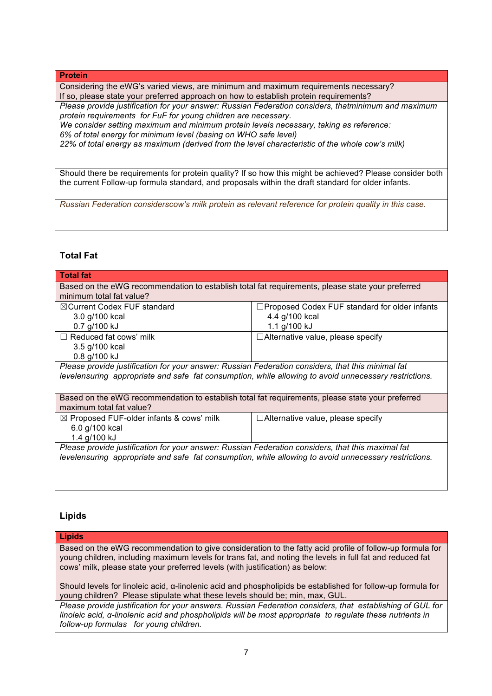#### **Protein**

Considering the eWG's varied views, are minimum and maximum requirements necessary? If so, please state your preferred approach on how to establish protein requirements?

*Please provide justification for your answer: Russian Federation considers, thatminimum and maximum protein requirements for FuF for young children are necessary.* 

*We consider setting maximum and minimum protein levels necessary, taking as reference: 6% of total energy for minimum level (basing on WHO safe level)*

*22% of total energy as maximum (derived from the level characteristic of the whole cow's milk)*

Should there be requirements for protein quality? If so how this might be achieved? Please consider both the current Follow-up formula standard, and proposals within the draft standard for older infants.

*Russian Federation considerscow's milk protein as relevant reference for protein quality in this case.*

### **Total Fat**

| <b>Total fat</b>                                                                                      |                                                      |  |  |
|-------------------------------------------------------------------------------------------------------|------------------------------------------------------|--|--|
| Based on the eWG recommendation to establish total fat requirements, please state your preferred      |                                                      |  |  |
| minimum total fat value?                                                                              |                                                      |  |  |
| $\boxtimes$ Current Codex FUF standard                                                                | $\Box$ Proposed Codex FUF standard for older infants |  |  |
| 3.0 g/100 kcal                                                                                        | 4.4 g/100 kcal                                       |  |  |
| 0.7 g/100 kJ                                                                                          | 1.1 g/100 kJ                                         |  |  |
| $\Box$ Reduced fat cows' milk                                                                         | □Alternative value, please specify                   |  |  |
| 3.5 g/100 kcal                                                                                        |                                                      |  |  |
| 0.8 g/100 kJ                                                                                          |                                                      |  |  |
| Please provide justification for your answer: Russian Federation considers, that this minimal fat     |                                                      |  |  |
| levelensuring appropriate and safe fat consumption, while allowing to avoid unnecessary restrictions. |                                                      |  |  |
|                                                                                                       |                                                      |  |  |
| Based on the eWG recommendation to establish total fat requirements, please state your preferred      |                                                      |  |  |
| maximum total fat value?                                                                              |                                                      |  |  |
| $\boxtimes$ Proposed FUF-older infants & cows' milk                                                   | $\Box$ Alternative value, please specify             |  |  |
| 6.0 g/100 kcal                                                                                        |                                                      |  |  |
| 1.4 g/100 kJ                                                                                          |                                                      |  |  |
| Please provide justification for your answer: Russian Federation considers, that this maximal fat     |                                                      |  |  |
| levelensuring appropriate and safe fat consumption, while allowing to avoid unnecessary restrictions. |                                                      |  |  |
|                                                                                                       |                                                      |  |  |
|                                                                                                       |                                                      |  |  |
|                                                                                                       |                                                      |  |  |

### **Lipids**

#### **Lipids**

Based on the eWG recommendation to give consideration to the fatty acid profile of follow-up formula for young children, including maximum levels for trans fat, and noting the levels in full fat and reduced fat cows' milk, please state your preferred levels (with justification) as below:

Should levels for linoleic acid, α-linolenic acid and phospholipids be established for follow-up formula for young children? Please stipulate what these levels should be; min, max, GUL.

*Please provide justification for your answers. Russian Federation considers, that establishing of GUL for linoleic acid, α-linolenic acid and phospholipids will be most appropriate to regulate these nutrients in follow-up formulas for young children.*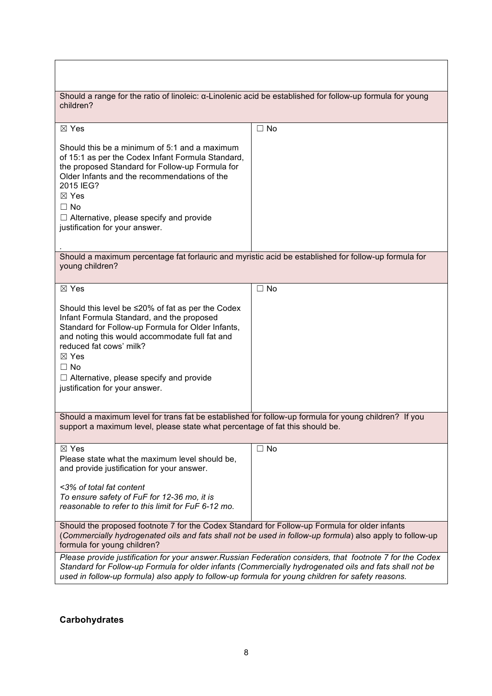| Should a range for the ratio of linoleic: a-Linolenic acid be established for follow-up formula for young<br>children?                                                                                                                                                                                                                                     |           |  |  |
|------------------------------------------------------------------------------------------------------------------------------------------------------------------------------------------------------------------------------------------------------------------------------------------------------------------------------------------------------------|-----------|--|--|
| $\boxtimes$ Yes                                                                                                                                                                                                                                                                                                                                            | $\Box$ No |  |  |
| Should this be a minimum of 5:1 and a maximum<br>of 15:1 as per the Codex Infant Formula Standard,<br>the proposed Standard for Follow-up Formula for<br>Older Infants and the recommendations of the<br>2015 IEG?<br>⊠ Yes<br>$\Box$ No<br>$\Box$ Alternative, please specify and provide<br>justification for your answer.                               |           |  |  |
| Should a maximum percentage fat forlauric and myristic acid be established for follow-up formula for<br>young children?                                                                                                                                                                                                                                    |           |  |  |
| $\boxtimes$ Yes                                                                                                                                                                                                                                                                                                                                            | $\Box$ No |  |  |
| Should this level be $\leq$ 20% of fat as per the Codex<br>Infant Formula Standard, and the proposed<br>Standard for Follow-up Formula for Older Infants,<br>and noting this would accommodate full fat and<br>reduced fat cows' milk?<br>$\boxtimes$ Yes<br>$\Box$ No<br>$\Box$ Alternative, please specify and provide<br>justification for your answer. |           |  |  |
| Should a maximum level for trans fat be established for follow-up formula for young children? If you<br>support a maximum level, please state what percentage of fat this should be.                                                                                                                                                                       |           |  |  |
| $\boxtimes$ Yes<br>Please state what the maximum level should be,<br>and provide justification for your answer.<br><3% of total fat content<br>To ensure safety of FuF for 12-36 mo, it is<br>reasonable to refer to this limit for FuF 6-12 mo.                                                                                                           | $\Box$ No |  |  |
| Should the proposed footnote 7 for the Codex Standard for Follow-up Formula for older infants<br>(Commercially hydrogenated oils and fats shall not be used in follow-up formula) also apply to follow-up<br>formula for young children?                                                                                                                   |           |  |  |
| Please provide justification for your answer. Russian Federation considers, that footnote 7 for the Codex<br>Standard for Follow-up Formula for older infants (Commercially hydrogenated oils and fats shall not be<br>used in follow-up formula) also apply to follow-up formula for young children for safety reasons.                                   |           |  |  |

 $\overline{\phantom{a}}$ 

## **Carbohydrates**

 $\overline{\mathsf{I}}$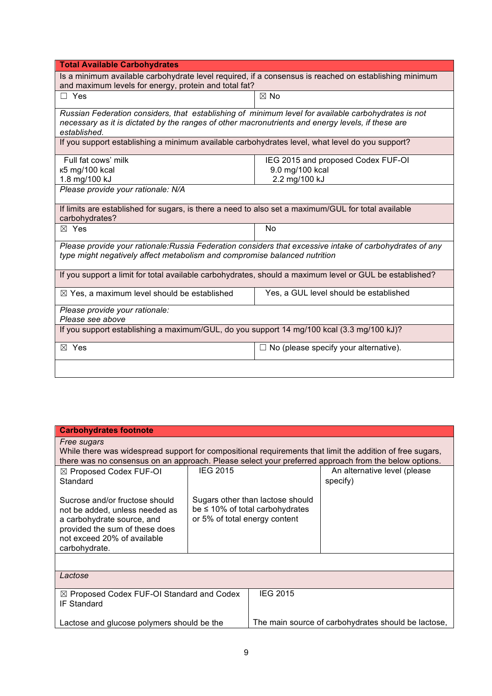| <b>Total Available Carbohydrates</b>                                                                                                                                                                                     |                                              |  |  |
|--------------------------------------------------------------------------------------------------------------------------------------------------------------------------------------------------------------------------|----------------------------------------------|--|--|
| Is a minimum available carbohydrate level required, if a consensus is reached on establishing minimum                                                                                                                    |                                              |  |  |
| and maximum levels for energy, protein and total fat?                                                                                                                                                                    |                                              |  |  |
| $\Box$ Yes                                                                                                                                                                                                               | $\boxtimes$ No                               |  |  |
| Russian Federation considers, that establishing of minimum level for available carbohydrates is not<br>necessary as it is dictated by the ranges of other macronutrients and energy levels, if these are<br>established. |                                              |  |  |
| If you support establishing a minimum available carbohydrates level, what level do you support?                                                                                                                          |                                              |  |  |
| Full fat cows' milk                                                                                                                                                                                                      | IEG 2015 and proposed Codex FUF-OI           |  |  |
| к5 mg/100 kcal                                                                                                                                                                                                           | 9.0 mg/100 kcal                              |  |  |
| 1.8 mg/100 kJ                                                                                                                                                                                                            | 2.2 mg/100 kJ                                |  |  |
| Please provide your rationale: N/A                                                                                                                                                                                       |                                              |  |  |
| If limits are established for sugars, is there a need to also set a maximum/GUL for total available                                                                                                                      |                                              |  |  |
| carbohydrates?                                                                                                                                                                                                           |                                              |  |  |
| $\boxtimes$ Yes                                                                                                                                                                                                          | No                                           |  |  |
| Please provide your rationale: Russia Federation considers that excessive intake of carbohydrates of any<br>type might negatively affect metabolism and compromise balanced nutrition                                    |                                              |  |  |
| If you support a limit for total available carbohydrates, should a maximum level or GUL be established?                                                                                                                  |                                              |  |  |
| $\boxtimes$ Yes, a maximum level should be established                                                                                                                                                                   | Yes, a GUL level should be established       |  |  |
| Please provide your rationale:                                                                                                                                                                                           |                                              |  |  |
| Please see above                                                                                                                                                                                                         |                                              |  |  |
| If you support establishing a maximum/GUL, do you support 14 mg/100 kcal (3.3 mg/100 kJ)?                                                                                                                                |                                              |  |  |
| ⊠ Yes                                                                                                                                                                                                                    | $\Box$ No (please specify your alternative). |  |  |
|                                                                                                                                                                                                                          |                                              |  |  |

| <b>Carbohydrates footnote</b>                                                                                                                                                                                                    |                                                                                                            |                 |                                                     |  |
|----------------------------------------------------------------------------------------------------------------------------------------------------------------------------------------------------------------------------------|------------------------------------------------------------------------------------------------------------|-----------------|-----------------------------------------------------|--|
| Free sugars<br>While there was widespread support for compositional requirements that limit the addition of free sugars,<br>there was no consensus on an approach. Please select your preferred approach from the below options. |                                                                                                            |                 |                                                     |  |
| $\boxtimes$ Proposed Codex FUF-OI<br>Standard                                                                                                                                                                                    | <b>IEG 2015</b>                                                                                            |                 | An alternative level (please<br>specify)            |  |
| Sucrose and/or fructose should<br>not be added, unless needed as<br>a carbohydrate source, and<br>provided the sum of these does<br>not exceed 20% of available<br>carbohydrate.                                                 | Sugars other than lactose should<br>be $\leq 10\%$ of total carbohydrates<br>or 5% of total energy content |                 |                                                     |  |
|                                                                                                                                                                                                                                  |                                                                                                            |                 |                                                     |  |
| Lactose                                                                                                                                                                                                                          |                                                                                                            |                 |                                                     |  |
| $\boxtimes$ Proposed Codex FUF-OI Standard and Codex<br><b>IF Standard</b>                                                                                                                                                       |                                                                                                            | <b>IEG 2015</b> |                                                     |  |
| Lactose and glucose polymers should be the                                                                                                                                                                                       |                                                                                                            |                 | The main source of carbohydrates should be lactose, |  |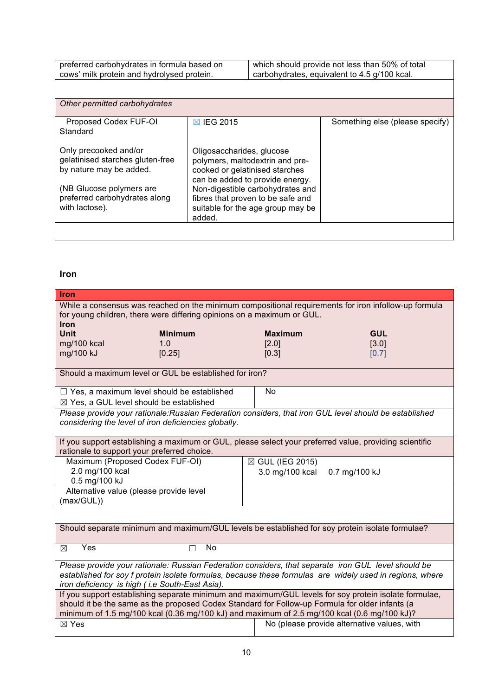| preferred carbohydrates in formula based on | which should provide not less than 50% of total |
|---------------------------------------------|-------------------------------------------------|
| cows' milk protein and hydrolysed protein.  | carbohydrates, equivalent to 4.5 g/100 kcal.    |
|                                             |                                                 |

| Other permitted carbohydrates                                                                                                                                       |                                                                                                                                                                                                                                                           |                                 |  |  |  |
|---------------------------------------------------------------------------------------------------------------------------------------------------------------------|-----------------------------------------------------------------------------------------------------------------------------------------------------------------------------------------------------------------------------------------------------------|---------------------------------|--|--|--|
| Proposed Codex FUF-OI<br>Standard                                                                                                                                   | $\boxtimes$ IEG 2015                                                                                                                                                                                                                                      | Something else (please specify) |  |  |  |
| Only precooked and/or<br>gelatinised starches gluten-free<br>by nature may be added.<br>(NB Glucose polymers are<br>preferred carbohydrates along<br>with lactose). | Oligosaccharides, glucose<br>polymers, maltodextrin and pre-<br>cooked or gelatinised starches<br>can be added to provide energy.<br>Non-digestible carbohydrates and<br>fibres that proven to be safe and<br>suitable for the age group may be<br>added. |                                 |  |  |  |
|                                                                                                                                                                     |                                                                                                                                                                                                                                                           |                                 |  |  |  |

## **Iron**

| <b>Iron</b>                                                                                                                                                                                    |         |                  |                                             |  |
|------------------------------------------------------------------------------------------------------------------------------------------------------------------------------------------------|---------|------------------|---------------------------------------------|--|
| While a consensus was reached on the minimum compositional requirements for iron infollow-up formula<br>for young children, there were differing opinions on a maximum or GUL.<br><b>Iron</b>  |         |                  |                                             |  |
| Unit<br><b>Minimum</b>                                                                                                                                                                         |         | <b>Maximum</b>   | <b>GUL</b>                                  |  |
| mg/100 kcal<br>1.0                                                                                                                                                                             |         | [2.0]            | [3.0]                                       |  |
| mg/100 kJ<br>[0.25]                                                                                                                                                                            |         | [0.3]            | [0.7]                                       |  |
| Should a maximum level or GUL be established for iron?                                                                                                                                         |         |                  |                                             |  |
| $\Box$ Yes, a maximum level should be established                                                                                                                                              |         | No               |                                             |  |
| $\boxtimes$ Yes, a GUL level should be established                                                                                                                                             |         |                  |                                             |  |
| Please provide your rationale: Russian Federation considers, that iron GUL level should be established                                                                                         |         |                  |                                             |  |
| considering the level of iron deficiencies globally.                                                                                                                                           |         |                  |                                             |  |
| If you support establishing a maximum or GUL, please select your preferred value, providing scientific                                                                                         |         |                  |                                             |  |
| rationale to support your preferred choice.                                                                                                                                                    |         |                  |                                             |  |
| Maximum (Proposed Codex FUF-OI)                                                                                                                                                                |         | ⊠ GUL (IEG 2015) |                                             |  |
| 2.0 mg/100 kcal<br>0.5 mg/100 kJ                                                                                                                                                               |         | 3.0 mg/100 kcal  | 0.7 mg/100 kJ                               |  |
| Alternative value (please provide level                                                                                                                                                        |         |                  |                                             |  |
| (max/GUL))                                                                                                                                                                                     |         |                  |                                             |  |
|                                                                                                                                                                                                |         |                  |                                             |  |
| Should separate minimum and maximum/GUL levels be established for soy protein isolate formulae?                                                                                                |         |                  |                                             |  |
| Yes<br>⊠                                                                                                                                                                                       | No<br>П |                  |                                             |  |
| Please provide your rationale: Russian Federation considers, that separate iron GUL level should be                                                                                            |         |                  |                                             |  |
| established for soy f protein isolate formulas, because these formulas are widely used in regions, where                                                                                       |         |                  |                                             |  |
| iron deficiency is high (i.e South-East Asia).                                                                                                                                                 |         |                  |                                             |  |
| If you support establishing separate minimum and maximum/GUL levels for soy protein isolate formulae,                                                                                          |         |                  |                                             |  |
| should it be the same as the proposed Codex Standard for Follow-up Formula for older infants (a<br>minimum of 1.5 mg/100 kcal (0.36 mg/100 kJ) and maximum of 2.5 mg/100 kcal (0.6 mg/100 kJ)? |         |                  |                                             |  |
| $\boxtimes$ Yes                                                                                                                                                                                |         |                  | No (please provide alternative values, with |  |
|                                                                                                                                                                                                |         |                  |                                             |  |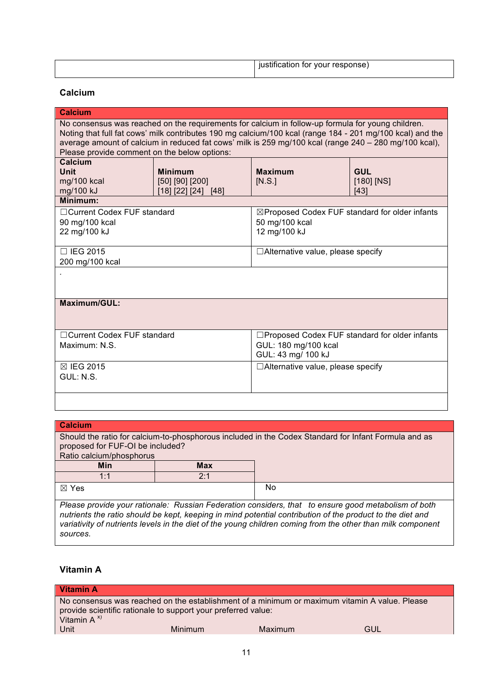| iustification for your response) |
|----------------------------------|

## **Calcium**

| <b>Calcium</b>                                                                                                                                                                                                                                                                                                                                                          |                       |                                                           |              |  |  |
|-------------------------------------------------------------------------------------------------------------------------------------------------------------------------------------------------------------------------------------------------------------------------------------------------------------------------------------------------------------------------|-----------------------|-----------------------------------------------------------|--------------|--|--|
| No consensus was reached on the requirements for calcium in follow-up formula for young children.<br>Noting that full fat cows' milk contributes 190 mg calcium/100 kcal (range 184 - 201 mg/100 kcal) and the<br>average amount of calcium in reduced fat cows' milk is 259 mg/100 kcal (range 240 - 280 mg/100 kcal),<br>Please provide comment on the below options: |                       |                                                           |              |  |  |
| Calcium                                                                                                                                                                                                                                                                                                                                                                 |                       |                                                           |              |  |  |
| <b>Unit</b>                                                                                                                                                                                                                                                                                                                                                             | <b>Minimum</b>        | <b>Maximum</b>                                            | <b>GUL</b>   |  |  |
| mg/100 kcal                                                                                                                                                                                                                                                                                                                                                             | $[50]$ $[90]$ $[200]$ | [N.S.]                                                    | $[180]$ [NS] |  |  |
| mg/100 kJ<br>Minimum:                                                                                                                                                                                                                                                                                                                                                   | [18] [22] [24] [48]   |                                                           | [43]         |  |  |
|                                                                                                                                                                                                                                                                                                                                                                         |                       |                                                           |              |  |  |
| □ Current Codex FUF standard                                                                                                                                                                                                                                                                                                                                            |                       | $\boxtimes$ Proposed Codex FUF standard for older infants |              |  |  |
| 90 mg/100 kcal                                                                                                                                                                                                                                                                                                                                                          |                       | 50 mg/100 kcal                                            |              |  |  |
| 22 mg/100 kJ                                                                                                                                                                                                                                                                                                                                                            |                       | 12 mg/100 kJ                                              |              |  |  |
|                                                                                                                                                                                                                                                                                                                                                                         |                       |                                                           |              |  |  |
| $\Box$ IEG 2015                                                                                                                                                                                                                                                                                                                                                         |                       | $\Box$ Alternative value, please specify                  |              |  |  |
| 200 mg/100 kcal                                                                                                                                                                                                                                                                                                                                                         |                       |                                                           |              |  |  |
|                                                                                                                                                                                                                                                                                                                                                                         |                       |                                                           |              |  |  |
|                                                                                                                                                                                                                                                                                                                                                                         |                       |                                                           |              |  |  |
| Maximum/GUL:                                                                                                                                                                                                                                                                                                                                                            |                       |                                                           |              |  |  |
|                                                                                                                                                                                                                                                                                                                                                                         |                       |                                                           |              |  |  |
|                                                                                                                                                                                                                                                                                                                                                                         |                       |                                                           |              |  |  |
| □ Current Codex FUF standard                                                                                                                                                                                                                                                                                                                                            |                       | □Proposed Codex FUF standard for older infants            |              |  |  |
| Maximum: N.S.                                                                                                                                                                                                                                                                                                                                                           |                       | GUL: 180 mg/100 kcal                                      |              |  |  |
|                                                                                                                                                                                                                                                                                                                                                                         |                       | GUL: 43 mg/ 100 kJ                                        |              |  |  |
| ⊠ IEG 2015                                                                                                                                                                                                                                                                                                                                                              |                       | $\Box$ Alternative value, please specify                  |              |  |  |
| GUL: N.S.                                                                                                                                                                                                                                                                                                                                                               |                       |                                                           |              |  |  |
|                                                                                                                                                                                                                                                                                                                                                                         |                       |                                                           |              |  |  |
|                                                                                                                                                                                                                                                                                                                                                                         |                       |                                                           |              |  |  |
|                                                                                                                                                                                                                                                                                                                                                                         |                       |                                                           |              |  |  |

| <b>Calcium</b>                                                                                                                                                                                                                                                                                                                  |            |  |  |  |
|---------------------------------------------------------------------------------------------------------------------------------------------------------------------------------------------------------------------------------------------------------------------------------------------------------------------------------|------------|--|--|--|
| Should the ratio for calcium-to-phosphorous included in the Codex Standard for Infant Formula and as<br>proposed for FUF-OI be included?<br>Ratio calcium/phosphorus                                                                                                                                                            |            |  |  |  |
| <b>Min</b>                                                                                                                                                                                                                                                                                                                      | <b>Max</b> |  |  |  |
| 1:1                                                                                                                                                                                                                                                                                                                             | 2:1        |  |  |  |
| $\boxtimes$ Yes<br>No                                                                                                                                                                                                                                                                                                           |            |  |  |  |
| Please provide your rationale: Russian Federation considers, that to ensure good metabolism of both<br>nutrients the ratio should be kept, keeping in mind potential contribution of the product to the diet and<br>variativity of nutrients levels in the diet of the young children coming from the other than milk component |            |  |  |  |

## **Vitamin A**

*sources.*

| <b>Vitamin A</b>                                                                 |                |         |                                                                                               |
|----------------------------------------------------------------------------------|----------------|---------|-----------------------------------------------------------------------------------------------|
| provide scientific rationale to support your preferred value:<br>Vitamin $A^{x}$ |                |         | No consensus was reached on the establishment of a minimum or maximum vitamin A value. Please |
| Unit                                                                             | <b>Minimum</b> | Maximum | GUL                                                                                           |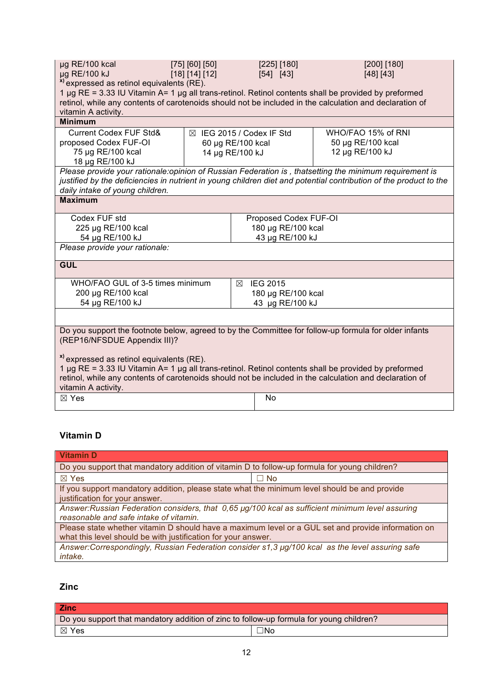| [200] [180]<br>µg RE/100 kcal<br>[75] [60] [50]<br>[225] [180]<br>µg RE/100 kJ<br>[18] [14] [12]<br>[54] [43]<br>[48] [43]<br><sup>x)</sup> expressed as retinol equivalents (RE).<br>1 µg RE = 3.33 IU Vitamin A= 1 µg all trans-retinol. Retinol contents shall be provided by preformed<br>retinol, while any contents of carotenoids should not be included in the calculation and declaration of<br>vitamin A activity. |                                     |   |                       |                    |                                                                                                                   |
|------------------------------------------------------------------------------------------------------------------------------------------------------------------------------------------------------------------------------------------------------------------------------------------------------------------------------------------------------------------------------------------------------------------------------|-------------------------------------|---|-----------------------|--------------------|-------------------------------------------------------------------------------------------------------------------|
| <b>Minimum</b>                                                                                                                                                                                                                                                                                                                                                                                                               |                                     |   |                       |                    |                                                                                                                   |
| <b>Current Codex FUF Std&amp;</b>                                                                                                                                                                                                                                                                                                                                                                                            | $\boxtimes$ IEG 2015 / Codex IF Std |   |                       |                    | WHO/FAO 15% of RNI                                                                                                |
| proposed Codex FUF-OI                                                                                                                                                                                                                                                                                                                                                                                                        | 60 µg RE/100 kcal                   |   |                       |                    | 50 µg RE/100 kcal                                                                                                 |
| 75 µg RE/100 kcal                                                                                                                                                                                                                                                                                                                                                                                                            | 14 µg RE/100 kJ                     |   |                       |                    | 12 µg RE/100 kJ                                                                                                   |
| 18 µg RE/100 kJ                                                                                                                                                                                                                                                                                                                                                                                                              |                                     |   |                       |                    |                                                                                                                   |
|                                                                                                                                                                                                                                                                                                                                                                                                                              |                                     |   |                       |                    | Please provide your rationale:opinion of Russian Federation is, thatsetting the minimum requirement is            |
|                                                                                                                                                                                                                                                                                                                                                                                                                              |                                     |   |                       |                    | justified by the deficiencies in nutrient in young children diet and potential contribution of the product to the |
| daily intake of young children.                                                                                                                                                                                                                                                                                                                                                                                              |                                     |   |                       |                    |                                                                                                                   |
| <b>Maximum</b>                                                                                                                                                                                                                                                                                                                                                                                                               |                                     |   |                       |                    |                                                                                                                   |
| Codex FUF std                                                                                                                                                                                                                                                                                                                                                                                                                |                                     |   | Proposed Codex FUF-OI |                    |                                                                                                                   |
| 225 µg RE/100 kcal                                                                                                                                                                                                                                                                                                                                                                                                           |                                     |   | 180 µg RE/100 kcal    |                    |                                                                                                                   |
| 54 µg RE/100 kJ                                                                                                                                                                                                                                                                                                                                                                                                              |                                     |   |                       | 43 µg RE/100 kJ    |                                                                                                                   |
| Please provide your rationale:                                                                                                                                                                                                                                                                                                                                                                                               |                                     |   |                       |                    |                                                                                                                   |
|                                                                                                                                                                                                                                                                                                                                                                                                                              |                                     |   |                       |                    |                                                                                                                   |
| <b>GUL</b>                                                                                                                                                                                                                                                                                                                                                                                                                   |                                     |   |                       |                    |                                                                                                                   |
| WHO/FAO GUL of 3-5 times minimum                                                                                                                                                                                                                                                                                                                                                                                             |                                     | ⊠ | <b>IEG 2015</b>       |                    |                                                                                                                   |
| 200 µg RE/100 kcal                                                                                                                                                                                                                                                                                                                                                                                                           |                                     |   |                       | 180 µg RE/100 kcal |                                                                                                                   |
| 54 µg RE/100 kJ                                                                                                                                                                                                                                                                                                                                                                                                              |                                     |   |                       | 43 µg RE/100 kJ    |                                                                                                                   |
|                                                                                                                                                                                                                                                                                                                                                                                                                              |                                     |   |                       |                    |                                                                                                                   |
| Do you support the footnote below, agreed to by the Committee for follow-up formula for older infants<br>(REP16/NFSDUE Appendix III)?                                                                                                                                                                                                                                                                                        |                                     |   |                       |                    |                                                                                                                   |
| <sup>x)</sup> expressed as retinol equivalents (RE).<br>1 µg RE = 3.33 IU Vitamin A= 1 µg all trans-retinol. Retinol contents shall be provided by preformed<br>retinol, while any contents of carotenoids should not be included in the calculation and declaration of<br>vitamin A activity.                                                                                                                               |                                     |   |                       |                    |                                                                                                                   |
| $\boxtimes$ Yes                                                                                                                                                                                                                                                                                                                                                                                                              |                                     |   | No                    |                    |                                                                                                                   |

## **Vitamin D**

| <b>Vitamin D</b>                                                                                                                                                    |           |  |
|---------------------------------------------------------------------------------------------------------------------------------------------------------------------|-----------|--|
| Do you support that mandatory addition of vitamin D to follow-up formula for young children?                                                                        |           |  |
| $\boxtimes$ Yes                                                                                                                                                     | $\Box$ No |  |
| If you support mandatory addition, please state what the minimum level should be and provide<br>justification for your answer.                                      |           |  |
| Answer: Russian Federation considers, that 0,65 µg/100 kcal as sufficient minimum level assuring<br>reasonable and safe intake of vitamin.                          |           |  |
| Please state whether vitamin D should have a maximum level or a GUL set and provide information on<br>what this level should be with justification for your answer. |           |  |
| Answer:Correspondingly, Russian Federation consider s1,3 µg/100 kcal as the level assuring safe<br>intake.                                                          |           |  |

## **Zinc**

| <b>Zinc</b>                                                                             |           |  |
|-----------------------------------------------------------------------------------------|-----------|--|
| Do you support that mandatory addition of zinc to follow-up formula for young children? |           |  |
| ⊠ Yes                                                                                   | $\Box$ No |  |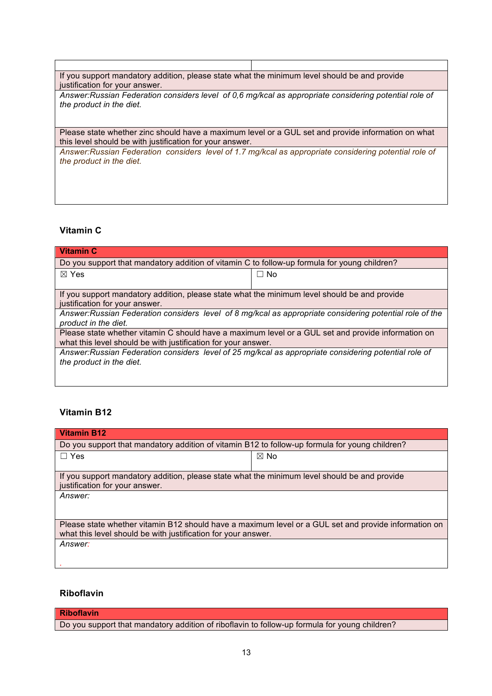| If you support mandatory addition, please state what the minimum level should be and provide<br>justification for your answer.                                 |  |  |
|----------------------------------------------------------------------------------------------------------------------------------------------------------------|--|--|
| Answer: Russian Federation considers level of 0,6 mg/kcal as appropriate considering potential role of<br>the product in the diet.                             |  |  |
| Please state whether zinc should have a maximum level or a GUL set and provide information on what<br>this level should be with justification for your answer. |  |  |
| Answer: Russian Federation considers level of 1.7 mg/kcal as appropriate considering potential role of<br>the product in the diet.                             |  |  |

## **Vitamin C**

| <b>Vitamin C</b>                                                                                         |           |  |
|----------------------------------------------------------------------------------------------------------|-----------|--|
| Do you support that mandatory addition of vitamin C to follow-up formula for young children?             |           |  |
| $\boxtimes$ Yes                                                                                          | $\Box$ No |  |
|                                                                                                          |           |  |
| If you support mandatory addition, please state what the minimum level should be and provide             |           |  |
| justification for your answer.                                                                           |           |  |
| Answer: Russian Federation considers level of 8 mg/kcal as appropriate considering potential role of the |           |  |
| product in the diet.                                                                                     |           |  |
| Please state whether vitamin C should have a maximum level or a GUL set and provide information on       |           |  |
| what this level should be with justification for your answer.                                            |           |  |
| Answer: Russian Federation considers level of 25 mg/kcal as appropriate considering potential role of    |           |  |
| the product in the diet.                                                                                 |           |  |
|                                                                                                          |           |  |

## **Vitamin B12**

| Vitamin B12                                                                                                                                                           |                |  |
|-----------------------------------------------------------------------------------------------------------------------------------------------------------------------|----------------|--|
| Do you support that mandatory addition of vitamin B12 to follow-up formula for young children?                                                                        |                |  |
| $\Box$ Yes                                                                                                                                                            | $\boxtimes$ No |  |
|                                                                                                                                                                       |                |  |
| If you support mandatory addition, please state what the minimum level should be and provide<br>justification for your answer.                                        |                |  |
| Answer:                                                                                                                                                               |                |  |
|                                                                                                                                                                       |                |  |
| Please state whether vitamin B12 should have a maximum level or a GUL set and provide information on<br>what this level should be with justification for your answer. |                |  |
| Answer:                                                                                                                                                               |                |  |
|                                                                                                                                                                       |                |  |
|                                                                                                                                                                       |                |  |

## **Riboflavin**

## **Riboflavin**

Do you support that mandatory addition of riboflavin to follow-up formula for young children?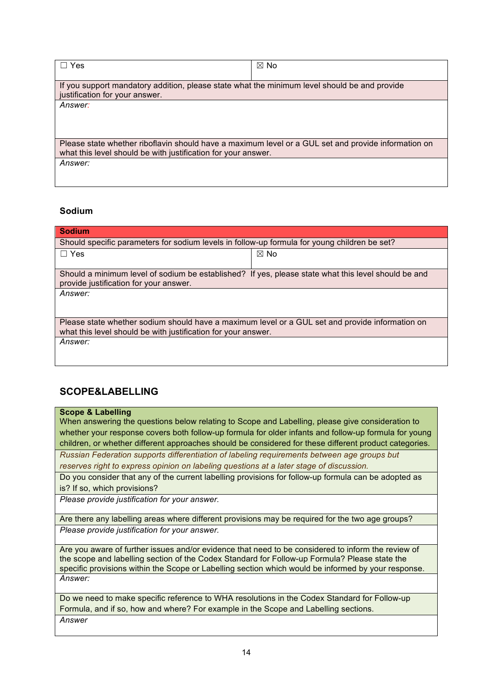| Yes                                                                                                                                                                  | $\boxtimes$ No |  |
|----------------------------------------------------------------------------------------------------------------------------------------------------------------------|----------------|--|
| If you support mandatory addition, please state what the minimum level should be and provide<br>justification for your answer.                                       |                |  |
| Answer:                                                                                                                                                              |                |  |
|                                                                                                                                                                      |                |  |
| Please state whether riboflavin should have a maximum level or a GUL set and provide information on<br>what this level should be with justification for your answer. |                |  |
| Answer:                                                                                                                                                              |                |  |

## **Sodium**

| <b>Sodium</b>                                                                                                                                                    |                |  |
|------------------------------------------------------------------------------------------------------------------------------------------------------------------|----------------|--|
| Should specific parameters for sodium levels in follow-up formula for young children be set?                                                                     |                |  |
| $\Box$ Yes                                                                                                                                                       | $\boxtimes$ No |  |
| Should a minimum level of sodium be established? If yes, please state what this level should be and<br>provide justification for your answer.                    |                |  |
| <i>Answer:</i>                                                                                                                                                   |                |  |
| Please state whether sodium should have a maximum level or a GUL set and provide information on<br>what this level should be with justification for your answer. |                |  |
| Answer:                                                                                                                                                          |                |  |

## **SCOPE&LABELLING**

## **Scope & Labelling**

When answering the questions below relating to Scope and Labelling, please give consideration to whether your response covers both follow-up formula for older infants and follow-up formula for young children, or whether different approaches should be considered for these different product categories.

*Russian Federation supports differentiation of labeling requirements between age groups but reserves right to express opinion on labeling questions at a later stage of discussion.*

Do you consider that any of the current labelling provisions for follow-up formula can be adopted as is? If so, which provisions?

*Please provide justification for your answer.*

Are there any labelling areas where different provisions may be required for the two age groups? *Please provide justification for your answer.*

Are you aware of further issues and/or evidence that need to be considered to inform the review of the scope and labelling section of the Codex Standard for Follow-up Formula? Please state the specific provisions within the Scope or Labelling section which would be informed by your response. *Answer:*

Do we need to make specific reference to WHA resolutions in the Codex Standard for Follow-up Formula, and if so, how and where? For example in the Scope and Labelling sections. *Answer*